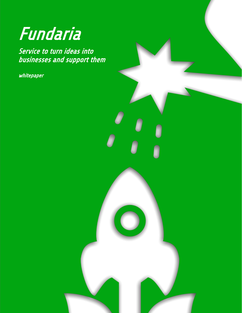# Fundaria

Service to turn ideas into businesses and support them

Service to turn ideas into

whitepaper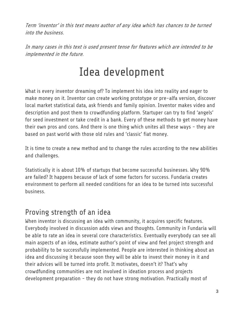Term 'inventor' in this text means author of any idea which has chances to be turned into the business.

<span id="page-2-0"></span>In many cases in this text is used present tense for features which are intended to be implemented in the future.

# Idea development

What is every inventor dreaming of? To implement his idea into reality and eager to make money on it. Inventor can create working prototype or pre-alfa version, discover local market statistical data, ask friends and family opinion. Inventor makes video and description and post them to crowdfunding platform. Startuper can try to find 'angels' for seed investment or take credit in a bank. Every of these methods to get money have their own pros and cons. And there is one thing which unites all these ways - they are based on past world with those old rules and 'classic' fiat money.

It is time to create a new method and to change the rules according to the new abilities and challenges.

Statistically it is about 10% of startups that become successful businesses. Why 90% are failed? It happens because of lack of some factors for success. Fundaria creates environment to perform all needed conditions for an idea to be turned into successful business.

## <span id="page-2-1"></span>Proving strength of an idea

When inventor is discussing an idea with community, it acquires specific features. Everybody involved in discussion adds views and thoughts. Community in Fundaria will be able to rate an idea in several core characteristics. Eventually everybody can see all main aspects of an idea, estimate author's point of view and feel project strength and probability to be successfully implemented. People are interested in thinking about an idea and discussing it because soon they will be able to invest their money in it and their advices will be turned into profit. It motivates, doesn't it? That's why crowdfunding communities are not involved in ideation process and projects development preparation - they do not have strong motivation. Practically most of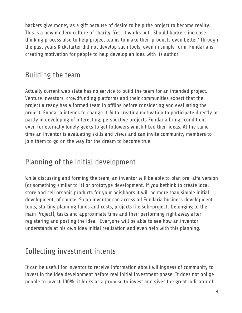backers give money as a gift because of desire to help the project to become reality. This is a new modern culture of charity. Yes, it works but.. Should backers increase thinking process also to help project teams to make their products even better? Through the past years Kickstarter did not develop such tools, even in simple form. Fundaria is creating motivation for people to help develop an idea with its author.

# <span id="page-3-0"></span>Building the team

Actually current web state has no service to build the team for an intended project. Venture investors, crowdfunding platforms and their communities expect that the project already has a formed team in offline before considering and evaluating the project. Fundaria intends to change it. With creating motivation to participate directly or partly in developing of interesting, perspective projects Fundaria brings conditions even for eternally lonely geeks to get followers which liked their ideas. At the same time an inventor is evaluating skills and views and can invite community members to join them to go on the way for the dream to become true.

## <span id="page-3-1"></span>Planning of the initial development

While discussing and forming the team, an inventor will be able to plan pre-alfa version (or something similar to it) or prototype development. If you bethink to create local store and sell organic products for your neighbors it will be more than simple initial development, of course. So an inventor can access all Fundaria business development tools, starting planning funds and costs, projects (i.e sub-projects belonging to the main Project), tasks and approximate time and their performing right away after registering and posting the idea. Everyone will be able to see how an inventor understands at his own idea initial realization and even help with this planning.

# <span id="page-3-2"></span>Collecting investment intents

It can be useful for inventor to receive information about willingness of community to invest in the idea development before real initial investment phase. It does not oblige people to invest 100%, it looks as a promise to invest and gives the great indicator of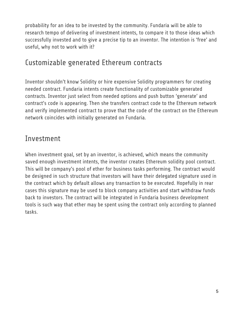probability for an idea to be invested by the community. Fundaria will be able to research tempo of delivering of investment intents, to compare it to those ideas which successfully invested and to give a precise tip to an inventor. The intention is 'free' and useful, why not to work with it?

#### <span id="page-4-0"></span>Customizable generated Ethereum contracts

Inventor shouldn't know Solidity or hire expensive Solidity programmers for creating needed contract. Fundaria intents create functionality of customizable generated contracts. Inventor just select from needed options and push button 'generate' and contract's code is appearing. Then she transfers contract code to the Ethereum network and verify implemented contract to prove that the code of the contract on the Ethereum network coincides with initially generated on Fundaria.

#### <span id="page-4-1"></span>Investment

When investment goal, set by an inventor, is achieved, which means the community saved enough investment intents, the inventor creates Ethereum solidity pool contract. This will be company's pool of ether for business tasks performing. The contract would be designed in such structure that investors will have their delegated signature used in the contract which by default allows any transaction to be executed. Hopefully in rear cases this signature may be used to block company activities and start withdraw funds back to investors. The contract will be integrated in Fundaria business development tools is such way that ether may be spent using the contract only according to planned tasks.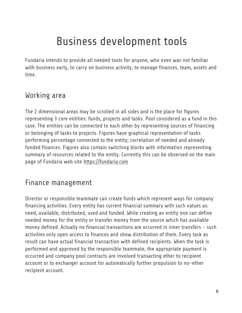# Business development tools

<span id="page-5-0"></span>Fundaria intends to provide all needed tools for anyone, who even was not familiar with business early, to carry on business activity, to manage finances, team, assets and time.

## <span id="page-5-1"></span>Working area

The 2 dimensional areas may be scrolled in all sides and is the place for figures representing 3 core entities: funds, projects and tasks. Pool considered as a fund in this case. The entities can be connected to each other by representing sources of financing or belonging of tasks to projects. Figures have graphical representation of tasks performing percentage connected to the entity; correlation of needed and already funded finances. Figures also contain switching blocks with information representing summary of resources related to the entity. Currently this can be observed on the main page of Fundaria web site [https://fundaria.com](https://fundaria.com/)

# <span id="page-5-2"></span>Finance management

Director or responsible teammate can create funds which represent ways for company financing activities. Every entity has current financial summary with such values as: need, available, distributed, used and funded. While creating an entity one can define needed money for the entity or transfer money from the source which has available money defined. Actually no financial transactions are occurred in inner transfers - such activities only open access to finances and show distribution of them. Every task as result can have actual financial transaction with defined recipients. When the task is performed and approved by the responsible teammate, the appropriate payment is occurred and company pool contracts are involved transacting ether to recipient account or to exchanger account for automatically further propulsion to no-ether recipient account.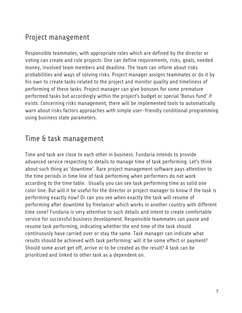# <span id="page-6-0"></span>Project management

Responsible teammates, with appropriate roles which are defined by the director or voting can create and rule projects. One can define requirements, risks, goals, needed money, involved team members and deadline. The team can inform about risks probabilities and ways of solving risks. Project manager assigns teammates or do it by his own to create tasks related to the project and monitor quality and timeliness of performing of these tasks. Project manager can give bonuses for some premature performed tasks but accordingly within the project's budget or special 'Bonus fund' if exists. Concerning risks management, there will be implemented tools to automatically warn about risks factors approaches with simple user-friendly conditional programming using business state parameters.

#### <span id="page-6-1"></span>Time & task management

Time and task are close to each other in business. Fundaria intends to provide advanced service respecting to details to manage time of task performing. Let's think about such thing as 'downtime'. Rare project management software pays attention to the time periods in time line of task performing when performers do not work according to the time table. Usually you can see task performing time as solid one color line. But will it be useful for the director or project manager to know if the task is performing exactly now? Or can you see when exactly the task will resume of performing after downtime by freelancer which works in another country with different time zone? Fundaria is very attentive to such details and intent to create comfortable service for successful business development. Responsible teammates can pause and resume task performing, indicating whether the end time of the task should continuously have carried over or stay the same. Task manager can indicate what results should be achieved with task performing: will it be some effect or payment? Should some asset get off, arrive or to be created as the result? A task can be prioritized and linked to other task as a dependent on.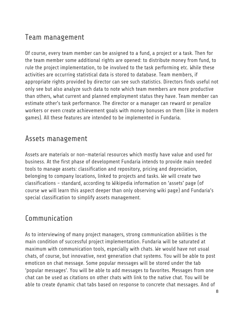# <span id="page-7-0"></span>Team management

Of course, every team member can be assigned to a fund, a project or a task. Then for the team member some additional rights are opened: to distribute money from fund, to rule the project implementation, to be involved to the task performing etc. While these activities are occurring statistical data is stored to database. Team members, if appropriate rights provided by director can see such statistics. Directors finds useful not only see but also analyze such data to note which team members are more productive than others, what current and planned employment status they have. Team member can estimate other's task performance. The director or a manager can reward or penalize workers or even create achievement goals with money bonuses on them (like in modern games). All these features are intended to be implemented in Fundaria.

#### <span id="page-7-1"></span>Assets management

Assets are materials or non-material resources which mostly have value and used for business. At the first phase of development Fundaria intends to provide main needed tools to manage assets: classification and repository, pricing and depreciation, belonging to company locations, linked to projects and tasks. We will create two classifications - standard, according to Wikipedia information on 'assets' page (of course we will learn this aspect deeper than only observing wiki page) and Fundaria's special classification to simplify assets management.

## <span id="page-7-2"></span>Communication

As to interviewing of many project managers, strong communication abilities is the main condition of successful project implementation. Fundaria will be saturated at maximum with communication tools, especially with chats. We would have not usual chats, of course, but innovative, next generation chat systems. You will be able to post emoticon on chat message. Some popular messages will be stored under the tab 'popular messages'. You will be able to add messages to favorites. Messages from one chat can be used as citations on other chats with link to the native chat. You will be able to create dynamic chat tabs based on response to concrete chat messages. And of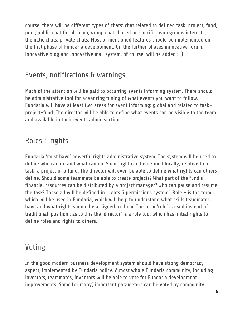course, there will be different types of chats: chat related to defined task, project, fund, pool; public chat for all team; group chats based on specific team groups interests; thematic chats; private chats. Most of mentioned features should be implemented on the first phase of Fundaria development. On the further phases innovative forum, innovative blog and innovative mail system, of course, will be added  $:-)$ 

#### <span id="page-8-0"></span>Events, notifications & warnings

Much of the attention will be paid to occurring events informing system. There should be administrative tool for advancing tuning of what events you want to follow. Fundaria will have at least two areas for event informing: global and related to taskproject-fund. The director will be able to define what events can be visible to the team and available in their events admin sections.

#### <span id="page-8-1"></span>Roles & rights

Fundaria 'must have' powerful rights administrative system. The system will be used to define who can do and what can do. Some right can be defined locally, relative to a task, a project or a fund. The director will even be able to define what rights can others define. Should some teammate be able to create projects? What part of the fund's financial resources can be distributed by a project manager? Who can pause and resume the task? These all will be defined in 'rights & permissions system'. Role - is the term which will be used in Fundaria, which will help to understand what skills teammates have and what rights should be assigned to them. The term 'role' is used instead of traditional 'position', as to this the 'director' is a role too, which has initial rights to define roles and rights to others.

#### <span id="page-8-2"></span>Voting

In the good modern business development system should have strong democracy aspect, implemented by Fundaria policy. Almost whole Fundaria community, including investors, teammates, inventors will be able to vote for Fundaria development improvements. Some (or many) important parameters can be voted by community.